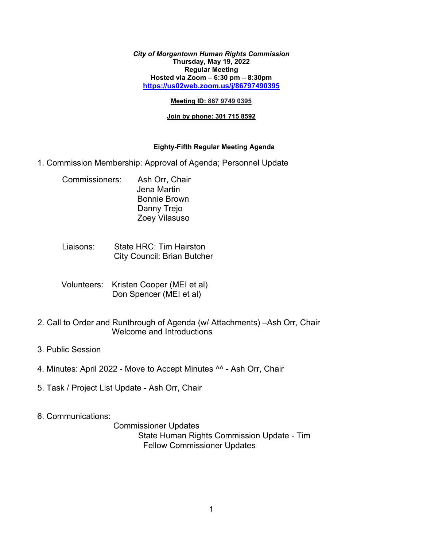*City of Morgantown Human Rights Commission* **Thursday, May 19, 2022 Regular Meeting Hosted via Zoom – 6:30 pm – 8:30pm <https://us02web.zoom.us/j/86797490395>**

#### **Meeting ID: 867 9749 0395**

### **Join by phone: 301 715 8592**

### **Eighty-Fifth Regular Meeting Agenda**

- 1. Commission Membership: Approval of Agenda; Personnel Update
	- Commissioners: Ash Orr, Chair Jena Martin Bonnie Brown Danny Trejo Zoey Vilasuso
	- Liaisons: State HRC: Tim Hairston City Council: Brian Butcher
	- Volunteers: Kristen Cooper (MEI et al) Don Spencer (MEI et al)
- 2. Call to Order and Runthrough of Agenda (w/ Attachments) –Ash Orr, Chair Welcome and Introductions
- 3. Public Session
- 4. Minutes: April 2022 Move to Accept Minutes ^^ Ash Orr, Chair
- 5. Task / Project List Update Ash Orr, Chair
- 6. Communications:

 Commissioner Updates State Human Rights Commission Update - Tim Fellow Commissioner Updates